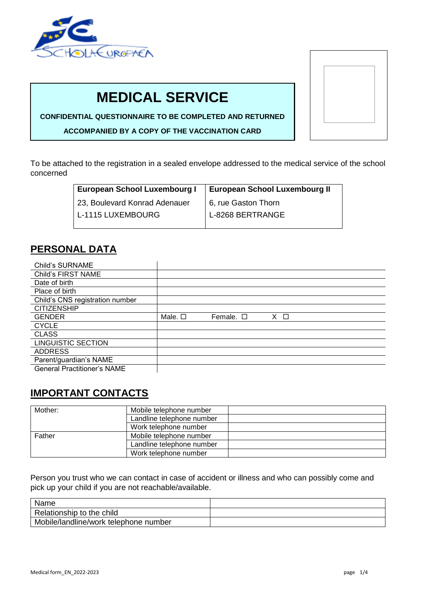

# **MEDICAL SERVICE**

**CONFIDENTIAL QUESTIONNAIRE TO BE COMPLETED AND RETURNED**

**ACCOMPANIED BY A COPY OF THE VACCINATION CARD**

To be attached to the registration in a sealed envelope addressed to the medical service of the school concerned

| European School Luxembourg I  | <b>European School Luxembourg II</b> |  |  |
|-------------------------------|--------------------------------------|--|--|
| 23, Boulevard Konrad Adenauer | 6, rue Gaston Thorn                  |  |  |
| L-1115 LUXEMBOURG             | L-8268 BERTRANGE                     |  |  |

### **PERSONAL DATA**

| <b>Child's SURNAME</b>             |                 |                   |             |
|------------------------------------|-----------------|-------------------|-------------|
| Child's FIRST NAME                 |                 |                   |             |
| Date of birth                      |                 |                   |             |
| Place of birth                     |                 |                   |             |
| Child's CNS registration number    |                 |                   |             |
| <b>CITIZENSHIP</b>                 |                 |                   |             |
| <b>GENDER</b>                      | Male. $\square$ | Female, $\square$ | $X \square$ |
| <b>CYCLE</b>                       |                 |                   |             |
| <b>CLASS</b>                       |                 |                   |             |
| <b>LINGUISTIC SECTION</b>          |                 |                   |             |
| <b>ADDRESS</b>                     |                 |                   |             |
| Parent/guardian's NAME             |                 |                   |             |
| <b>General Practitioner's NAME</b> |                 |                   |             |

### **IMPORTANT CONTACTS**

| Mother: | Mobile telephone number   |
|---------|---------------------------|
|         | Landline telephone number |
|         | Work telephone number     |
| Father  | Mobile telephone number   |
|         | Landline telephone number |
|         | Work telephone number     |

Person you trust who we can contact in case of accident or illness and who can possibly come and pick up your child if you are not reachable/available.

| Name                                  |  |
|---------------------------------------|--|
| Relationship to the child             |  |
| Mobile/landline/work telephone number |  |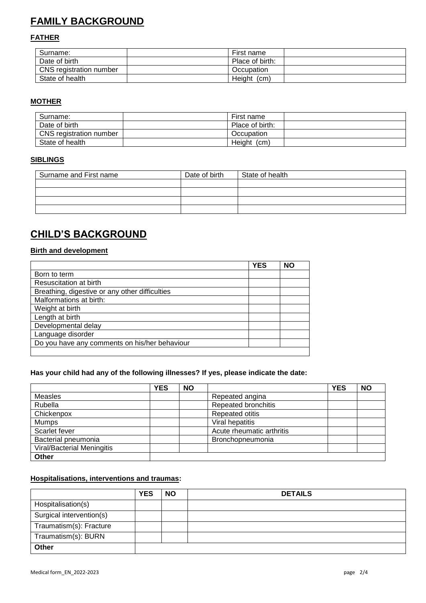# **FAMILY BACKGROUND**

### **FATHER**

| Surname:                | First name      |  |
|-------------------------|-----------------|--|
| Date of birth           | Place of birth: |  |
| CNS registration number | Occupation      |  |
| State of health         | Height<br>(cm)  |  |

### **MOTHER**

| Surname:                | First name      |  |
|-------------------------|-----------------|--|
| Date of birth           | Place of birth: |  |
| CNS registration number | Occupation      |  |
| State of health         | Height<br>(cm)  |  |

### **SIBLINGS**

| Surname and First name | Date of birth | State of health |
|------------------------|---------------|-----------------|
|                        |               |                 |
|                        |               |                 |
|                        |               |                 |
|                        |               |                 |

### **CHILD'S BACKGROUND**

### **Birth and development**

|                                                | <b>YES</b> | <b>NO</b> |
|------------------------------------------------|------------|-----------|
| Born to term                                   |            |           |
| Resuscitation at birth                         |            |           |
| Breathing, digestive or any other difficulties |            |           |
| Malformations at birth:                        |            |           |
| Weight at birth                                |            |           |
| Length at birth                                |            |           |
| Developmental delay                            |            |           |
| Language disorder                              |            |           |
| Do you have any comments on his/her behaviour  |            |           |
|                                                |            |           |

### **Has your child had any of the following illnesses? If yes, please indicate the date:**

|                                   | <b>YES</b> | <b>NO</b> |                           | <b>YES</b> | <b>NO</b> |
|-----------------------------------|------------|-----------|---------------------------|------------|-----------|
| Measles                           |            |           | Repeated angina           |            |           |
| Rubella                           |            |           | Repeated bronchitis       |            |           |
| Chickenpox                        |            |           | <b>Repeated otitis</b>    |            |           |
| <b>Mumps</b>                      |            |           | Viral hepatitis           |            |           |
| Scarlet fever                     |            |           | Acute rheumatic arthritis |            |           |
| Bacterial pneumonia               |            |           | Bronchopneumonia          |            |           |
| <b>Viral/Bacterial Meningitis</b> |            |           |                           |            |           |
| Other                             |            |           |                           |            |           |

### **Hospitalisations, interventions and traumas:**

|                          | <b>YES</b> | <b>NO</b> | <b>DETAILS</b> |
|--------------------------|------------|-----------|----------------|
| Hospitalisation(s)       |            |           |                |
| Surgical intervention(s) |            |           |                |
| Traumatism(s): Fracture  |            |           |                |
| Traumatism(s): BURN      |            |           |                |
| Other                    |            |           |                |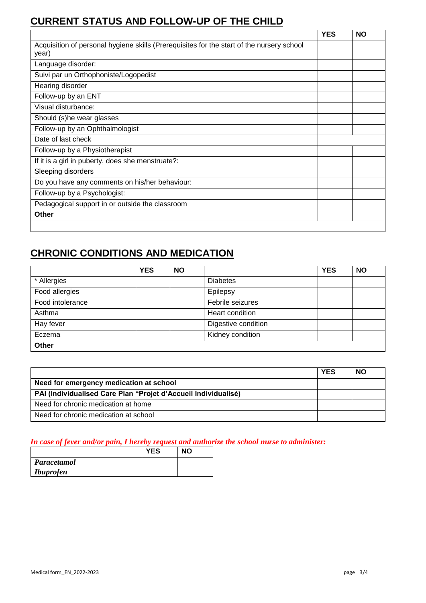## **CURRENT STATUS AND FOLLOW-UP OF THE CHILD**

|                                                                                                    | <b>YES</b> | <b>NO</b> |
|----------------------------------------------------------------------------------------------------|------------|-----------|
| Acquisition of personal hygiene skills (Prerequisites for the start of the nursery school<br>year) |            |           |
| Language disorder:                                                                                 |            |           |
| Suivi par un Orthophoniste/Logopedist                                                              |            |           |
| Hearing disorder                                                                                   |            |           |
| Follow-up by an ENT                                                                                |            |           |
| Visual disturbance:                                                                                |            |           |
| Should (s)he wear glasses                                                                          |            |           |
| Follow-up by an Ophthalmologist                                                                    |            |           |
| Date of last check                                                                                 |            |           |
| Follow-up by a Physiotherapist                                                                     |            |           |
| If it is a girl in puberty, does she menstruate?:                                                  |            |           |
| Sleeping disorders                                                                                 |            |           |
| Do you have any comments on his/her behaviour:                                                     |            |           |
| Follow-up by a Psychologist:                                                                       |            |           |
| Pedagogical support in or outside the classroom                                                    |            |           |
| Other                                                                                              |            |           |
|                                                                                                    |            |           |

## **CHRONIC CONDITIONS AND MEDICATION**

|                  | <b>YES</b> | <b>NO</b> |                     | <b>YES</b> | <b>NO</b> |
|------------------|------------|-----------|---------------------|------------|-----------|
| * Allergies      |            |           | <b>Diabetes</b>     |            |           |
| Food allergies   |            |           | Epilepsy            |            |           |
| Food intolerance |            |           | Febrile seizures    |            |           |
| Asthma           |            |           | Heart condition     |            |           |
| Hay fever        |            |           | Digestive condition |            |           |
| Eczema           |            |           | Kidney condition    |            |           |
| Other            |            |           |                     |            |           |

|                                                                | <b>YES</b> | <b>NO</b> |
|----------------------------------------------------------------|------------|-----------|
| Need for emergency medication at school                        |            |           |
| PAI (Individualised Care Plan "Projet d'Accueil Individualisé) |            |           |
| Need for chronic medication at home                            |            |           |
| Need for chronic medication at school                          |            |           |

### *In case of fever and/or pain, I hereby request and authorize the school nurse to administer:*

|                  | <b>YES</b> | <b>NO</b> |
|------------------|------------|-----------|
| Paracetamol      |            |           |
| <i>Ibuprofen</i> |            |           |